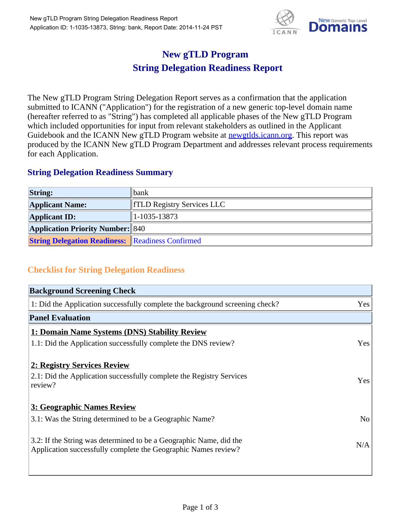

## **New gTLD Program String Delegation Readiness Report**

The New gTLD Program String Delegation Report serves as a confirmation that the application submitted to ICANN ("Application") for the registration of a new generic top-level domain name (hereafter referred to as "String") has completed all applicable phases of the New gTLD Program which included opportunities for input from relevant stakeholders as outlined in the Applicant Guidebook and the ICANN New gTLD Program website at newgtlds.icann.org. This report was produced by the ICANN New gTLD Program Department and addresses relevant process requirements for each Application.

## **String Delegation Readiness Summary**

| <b>String:</b>                                          | <b>bank</b>                       |
|---------------------------------------------------------|-----------------------------------|
| <b>Applicant Name:</b>                                  | <b>TELD Registry Services LLC</b> |
| <b>Applicant ID:</b>                                    | $ 1-1035-13873 $                  |
| <b>Application Priority Number: 840</b>                 |                                   |
| <b>String Delegation Readiness: Readiness Confirmed</b> |                                   |

## **Checklist for String Delegation Readiness**

| <b>Background Screening Check</b>                                               |                |  |
|---------------------------------------------------------------------------------|----------------|--|
| 1: Did the Application successfully complete the background screening check?    | Yes            |  |
| <b>Panel Evaluation</b>                                                         |                |  |
| 1: Domain Name Systems (DNS) Stability Review                                   |                |  |
| 1.1: Did the Application successfully complete the DNS review?                  | Yes            |  |
| 2: Registry Services Review                                                     |                |  |
|                                                                                 |                |  |
| 2.1: Did the Application successfully complete the Registry Services<br>review? | <b>Yes</b>     |  |
|                                                                                 |                |  |
| 3: Geographic Names Review                                                      |                |  |
| 3.1: Was the String determined to be a Geographic Name?                         | N <sub>0</sub> |  |
| 3.2: If the String was determined to be a Geographic Name, did the              |                |  |
| Application successfully complete the Geographic Names review?                  | N/A            |  |
|                                                                                 |                |  |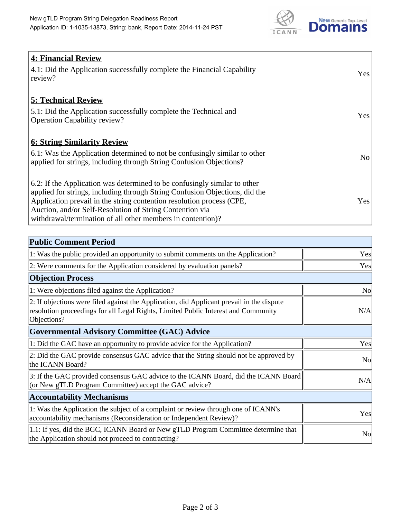

| <b>4: Financial Review</b>                                                  |                 |
|-----------------------------------------------------------------------------|-----------------|
| 4.1: Did the Application successfully complete the Financial Capability     | Yes             |
| review?                                                                     |                 |
|                                                                             |                 |
| <b>5: Technical Review</b>                                                  |                 |
| 5.1: Did the Application successfully complete the Technical and            |                 |
| <b>Operation Capability review?</b>                                         | Yes             |
|                                                                             |                 |
| <b>6: String Similarity Review</b>                                          |                 |
| 6.1: Was the Application determined to not be confusingly similar to other  | No <sub>1</sub> |
| applied for strings, including through String Confusion Objections?         |                 |
|                                                                             |                 |
| 6.2: If the Application was determined to be confusingly similar to other   |                 |
| applied for strings, including through String Confusion Objections, did the |                 |
| Application prevail in the string contention resolution process (CPE,       | Yes             |
| Auction, and/or Self-Resolution of String Contention via                    |                 |
| withdrawal/termination of all other members in contention)?                 |                 |

| <b>Public Comment Period</b>                                                                                                                                                                   |                |
|------------------------------------------------------------------------------------------------------------------------------------------------------------------------------------------------|----------------|
| 1: Was the public provided an opportunity to submit comments on the Application?                                                                                                               | Yes            |
| 2: Were comments for the Application considered by evaluation panels?                                                                                                                          | Yes            |
| <b>Objection Process</b>                                                                                                                                                                       |                |
| 1: Were objections filed against the Application?                                                                                                                                              | N <sub>o</sub> |
| 2: If objections were filed against the Application, did Applicant prevail in the dispute<br>resolution proceedings for all Legal Rights, Limited Public Interest and Community<br>Objections? | N/A            |
| <b>Governmental Advisory Committee (GAC) Advice</b>                                                                                                                                            |                |
| 1: Did the GAC have an opportunity to provide advice for the Application?                                                                                                                      | Yes            |
| 2: Did the GAC provide consensus GAC advice that the String should not be approved by<br>the ICANN Board?                                                                                      | <b>No</b>      |
| 3: If the GAC provided consensus GAC advice to the ICANN Board, did the ICANN Board<br>(or New gTLD Program Committee) accept the GAC advice?                                                  | N/A            |
| <b>Accountability Mechanisms</b>                                                                                                                                                               |                |
| 1: Was the Application the subject of a complaint or review through one of ICANN's<br>accountability mechanisms (Reconsideration or Independent Review)?                                       | Yes            |
| 1.1: If yes, did the BGC, ICANN Board or New gTLD Program Committee determine that<br>the Application should not proceed to contracting?                                                       | N <sub>0</sub> |